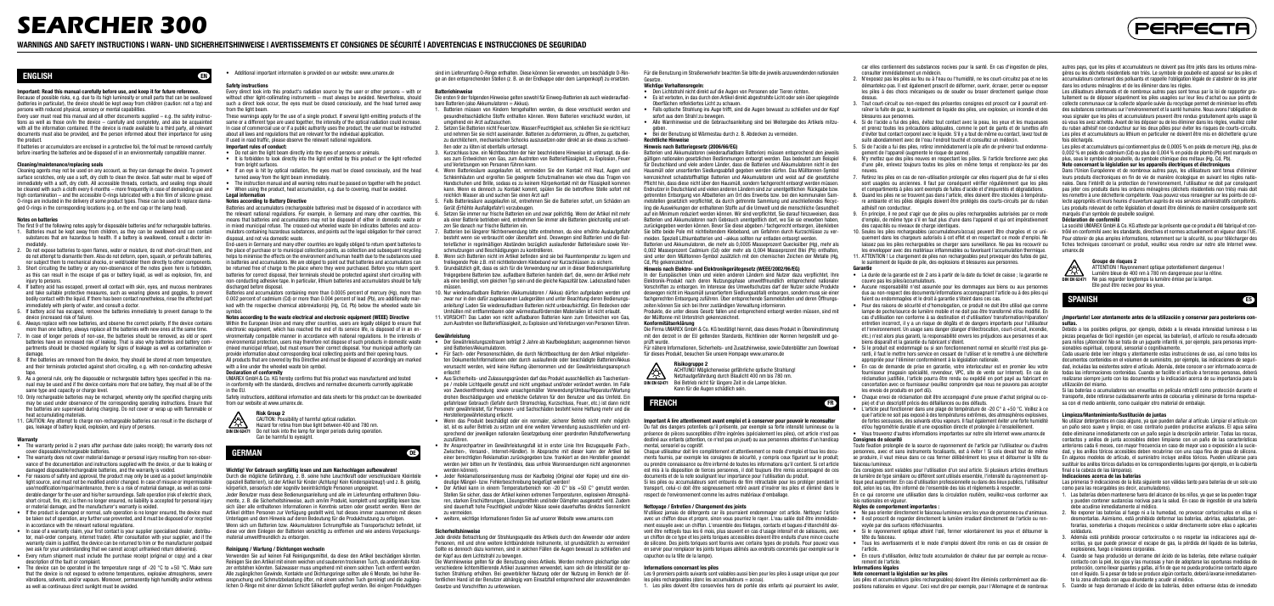## ENGLISH EN

#### Important: Read this manual carefully before use, and keep it for future reference.

Because of possible risks, e.g. due to its high luminosity or small parts that can be swallowed (batteries in particular), the device should be kept away from children (caution: not a toy) and persons with reduced physical, sensory or mental capabilities.

Cleaning agents may not be used on any account, as they can damage the device. To prevent surface scratches, only use a soft, dry cloth to clean the device. Salt water must be wiped off immediately with a soft, dry cloth. All accessible threads, contacts, and sealing rings should be cleaned with such a cloth every 6 months – more frequently in case of demanding use and high contamination – and the accessible O-rings lubricated with a thin film of silicone grease. O-rings are included in the delivery of some product types. These can be used to replace damaged O-rings in the corresponding locations (e.g. on the end cap or the lamp head).

Every user must read this manual and all other documents supplied – e.g. the safety instructions as well as those on/in the device – carefully and completely, and also be acquainted with all the information contained. If the device is made available to a third party, all relevant documents must also be provided, and the person informed about their importance for using the product.

If batteries or accumulators are enclosed in a protective foil, the foil must be removed carefully before inserting the batteries and be disposed of in an environmentally compatible manner.

#### Cleaning/maintenance/replacing seals

#### Notes on batteries

- The first 9 of the following notes apply for disposable batteries and for rechargeable batteries. 1. Batteries must be kept away from children, as they can be swallowed and can contain substances that are hazardous to health. If a battery is swallowed, consult a doctor immediately.
- 2. Do not expose batteries to open flames, water or moisture, do not short-circuit them, and do not attempt to dismantle them. Also do not deform, open, squash, or perforate batteries, nor subject them to mechanical shocks, or weld/solder them directly to other components.
- 3. Short circuiting the battery or any non-observance of the notes given here is forbidden, as this can result in the escape of gas or battery liquid, as well as explosion, fire, and injury to persons.
- 4. If battery acid has escaped, prevent all contact with skin, eyes, and mucous membranes and take suitable protective measures, such as wearing gloves and goggles, to prevent bodily contact with the liquid. If there has been contact nonetheless, rinse the affected part immediately with plenty of water, and consult a doctor.
- 5. If battery acid has escaped, remove the batteries immediately to prevent damage to the device (increased risk of failure).
- 6. Always replace with new batteries, and observe the correct polarity. If the device contains more than one battery, always replace all the batteries with new ones at the same time.
- 7. In case of longer periods of non-use, the batteries should be removed, as old or spent batteries have an increased risk of leaking. That is also why batteries and battery compartments should be checked regularly for signs of leakage as well as contamination or damage
- 8. If the batteries are removed from the device, they should be stored at room temperature and their terminals protected against short circuiting, e.g. with non-conducting adhesive tape.
- 9. As a general rule, only the disposable or rechargeable battery types specified in this manual may be used and if the device contains more that one battery, they must all be of the same type and capacity or charge level.
- 10. Only rechargeable batteries may be recharged, whereby only the specified charging units may be used under observance of the corresponding operating instructions. Ensure that the batteries are supervised during charging. Do not cover or wrap up with flammable or heat accumulating materials.
- 11. CAUTION: Any attempt to charge non-rechargeable batteries can result in the discharge of gas, leakage of battery liquid, explosion, and injury of persons.

Every direct look into this product's radiation source by the user or other persons – with or without other light-collimating instruments – must always be avoided. Nevertheless, should such a direct look occur, the eyes must be closed consciously, and the head turned away from the light beam.

- If used in road traffic, please observe the relevant national regulations. Important rules of conduct:
- 
- Do not aim the light beam directly into the eyes of persons or animals. • It is forbidden to look directly into the light emitted by this product or the light reflected from bright surfaces.
- If an eye is hit by optical radiation, the eyes must be closed consciously, and the head
- turned away from the light beam immediately. • The instruction manual and all warning notes must be passed on together with the product.
- When using the product, heat accumulation, e.g. due to covering, must be avoided. Legal information

Safety instructions, additional information and data sheets for this product can be downloaded from our website at www.umarex.de.

- Warranty The warranty period is 2 years after purchase date (sales receipt); the warranty does not cover disposable/rechargeable batteries.
- The warranty does not cover material damage or personal injury resulting from non-obser vance of the documentation and instructions supplied with the device, or due to leaking or damaged disposable/rechargeable batteries, and the warranty is voided.
- For reasons of safety and approval, the product may only be used as a pocket lamp/mobile light source, and must not be modified and/or changed. In case of misuse or impermissible use/modification/repair/maintenance, there is a risk of material damage, as well as considerable danger for the user and his/her surroundings. Safe operation (risk of electric shock, short circuit, fire, etc.) is then no longer ensured, no liability is accepted for personal injury or material damage, and the manufacturer's warranty is voided.
- If the product is damaged or normal, safe operation is no longer ensured, the device must be taken out of operation, any further use prevented, and it must be disposed of or recycled in accordance with the relevant national regulations.
- In case of a warranty claim, your first contact is your supplier (specialised dealer, distributor, mail-order company, internet trader). After consultation with your supplier, and if the warranty claim is justified, the device can be returned to him or the manufacturer postpaid (we ask for your understanding that we cannot accept unfranked return deliveries). • Every return shipment must include the purchase receipt (original or copy) and a clear
- description of the fault or complaint.
- The device can be operated in the temperature range of  $-20\degree C$  to  $+50\degree C$ . Make sure that the device is not exposed to extreme temperatures, explosive atmospheres, severe vibrations, solvents, and/or vapours. Moreover, permanently high humidity and/or wetness as well as continuous direct sunlight must be avoided.
- Die ersten 9 der folgenden Hinweise gelten sowohl für Einweg-Batterien als auch wiederaufladbare Batterien (also Akkumulatoren = Akkus).
- 1. Batterien müssen von Kindern ferngehalten werden, da diese verschluckt werden und gesundheitsschädliche Stoffe enthalten können. Wenn Batterien verschluckt wurden, ist umgehend ein Arzt aufzusuchen.
- 2. Setzen Sie Batterien nicht Feuer bzw. Wasser/Feuchtigkeit aus, schließen Sie sie nicht kurz und nehmen Sie sie nicht auseinander. Batterien zu deformieren, zu öffnen, zu quetschen, zu durchlöchern, mechanischen Schocks auszusetzen oder direkt an sie etwas zu schweißen oder zu löten ist ebenfalls untersagt.
- 3. Kurzschluss bzw. ein Nichtbeachten der hier beschriebene Hinweise ist untersagt, da dieses zum Entweichen von Gas, zum Austreten von Batterieflüssigkeit, zu Explosion, Feuer und Verletzungen von Personen führen kann.
- 4. Wenn Batteriesäure ausgelaufen ist, vermeiden Sie den Kontakt mit Haut, Augen und Schleimhäuten und ergreifen Sie geeignete Schutzmaßnamen wie etwa das Tragen von Handschuhen und Brille, sodass es zu keinem Körperkontakt mit der Flüssigkeit kommen kann. Wenn es dennoch zu Kontakt kommt, spülen Sie die betroffene Stelle sofort mit reichlich Wasser ab und suchen Sie einen Arzt auf!
- 5. Falls Batteriesäure ausgelaufen ist, entnehmen Sie die Batterien sofort, um Schäden am Gerät (Erhöhte Ausfallgefahr!) vorzubeugen.
- 6. Setzen Sie immer nur frische Batterien ein und zwar polrichtig. Wenn der Artikel mit mehr als einer Batterie betrieben wird, entnehmen Sie immer alle Batterien gleichzeitig und setzen Sie danach nur frische Batterien ein.
- 7. Batterien bei längerer Nichtverwendung bitte entnehmen, da eine erhöhte Auslaufgefahr besteht wenn sie verbraucht oder überaltert sind. Deswegen sind Batterien und die Batteriefächer in regelmäßigen Abständen bezüglich auslaufender Batteriesäure sowie Verschmutzungen und Beschädigungen zu kontrollieren.
- 8. Wenn sich Batterien nicht im Artikel befinden sind sie bei Raumtemperatur zu lagern und freiliegende Pole z.B. mit nichtleitendem Klebeband vor Kurzschlüssen zu sichern.
- 9. Grundsätzlich gilt, dass es sich für die Verwendung nur um in dieser Bedienungsanleitung freigegebene Batterien bzw. aufladbare Batterien handeln darf, die, wenn der Artikel mehr als eine benötigt, vom gleichen Typ sein und die gleiche Kapazität bzw. Ladezustand haben müssen.
- 10. Nur wiederaufladbare Batterien (Akkumulatoren / Akkus) dürfen aufgeladen werden und zwar nur in den dafür zugelassenen Ladegeräten und unter Beachtung deren Bedienungsanleitung! Laden Sie wiederaufladbare Batterien nicht unbeaufsichtigt. Ein Bedecken oder Umhüllen mit entflammbaren oder wärmestaufördernden Materialien ist nicht erlaubt.
- 11. VORSICHT! Das Laden von nicht aufladbaren Batterien kann zum Entweichen von Gas, zum Austreten von Batterieflüssigkeit, zu Explosion und Verletzungen von Personen führen.

## • Additional important information is provided on our website: www.umarex.de

#### Safety instructions

These warnings apply for the use of a single product. If several light-emitting products of the same or a different type are used together, the intensity of the optical radiation could increase. In case of commercial use or if a public authority uses the product, the user must be instructed

#### about all laws and regulations that are relevant for the individual application.

Notes according to Battery Directive Batteries and accumulators (rechargeable batteries) must be disposed of in accordance with the relevant national regulations. For example, in Germany and many other countries, this means that batteries and accumulators may not be disposed of either in domestic waste or

in mixed municipal refuse. The crossed-out wheeled waste bin indicates batteries and accumulators containing hazardous substances, and points out the legal obligation for their correct disposal, and not via domestic waste. End-users in Germany and many other countries are legally obliged to return spent batteries to

the place of purchase or to municipal collection points, as collection and subsequent recycling helps to minimise the effects on the environment and human health due to the substances used in batteries and accumulators. We are obliged to point out that batteries and accumulators can be returned free of charge to the place where they were purchased. Before you return spent batteries for correct disposal, their terminals should be protected against short circuiting with non-conducting adhesive tape. In particular, lithium batteries and accumulators should be fully discharged before disposal.

Batteries and accumulators containing more than 0.0005 percent of mercury (Hg), more than 0.002 percent of cadmium (Cd) or more than 0.004 percent of lead (Pb), are additionally marked with the respective chemical abbreviation(s) (Hg, Cd, Pb) below the wheeled waste bin

## symbol. Notes according to the waste electrical and electronic equipment (WEEE) Directive

Within the European Union and many other countries, users are legally obliged to ensure that electronic equipment, which has reached the end of its service life, is disposed of in an environmentally compatible manner in accordance with national regulations. In the interests of environmental protection, users may therefore not dispose of such products in domestic waste (mixed municipal refuse), but must ensure their correct disposal. Your municipal authority can provide information about corresponding local collecting points and their opening hours. All products that are covered by this Directive and must be disposed of accordingly are marked with a line under the wheeled waste bin symbol.

#### Declaration of conformity

Batterien und Akkumulatoren, die mehr als 0,0005 Masseprozent Quecksilber (Hg), mehr als 0,002 Masseprozent Cadmium (Cd) oder mehr als 0,004 Masseprozent Blei (Pb) enthalten, sind unter dem Mülltonnen-Symbol zusätzlich mit den chemischen Zeichen der Metalle (Hg, Cd, Pb) gekennzeichne

UMAREX GmbH & Co. KG hereby confirms that this product was manufactured and tested in conformity with the standards, directives and normative documents currently applicable in the EU.

Wichtig! Vor Gebrauch sorgfältig lesen und zum Nachschlagen aufbewahren! Durch die mögliche Gefährdung, z. B. seine hohe Leuchtkraft oder verschluckbare Kleinteile (speziell Batterien!), ist der Artikel für Kinder (Achtung! Kein Kinderspielzeug!) und z. B. geistig,

GERMAN DESCRIPTION OF THE CONTROL OF THE CONTROL OF THE CONTROL OF THE CONTROL OF THE CONTROL OF THE CONTROL OF THE CONTROL OF THE CONTROL OF THE CONTROL OF THE CONTROL OF THE CONTROL OF THE CONTROL OF THE CONTROL OF THE C

In der Europäischen Union und vielen anderen Ländern sind Nutzer dazu verpflichtet. Ihre Elektronik-Produkt nach deren Nutzungsphase umweltfreundlich entsprechend nationaler Vorschriften zu entsorgen. Im Interesse des Umweltschutzes darf der Nutzer solche Produkte deswegen nicht im Hausmüll (unsortiertem Siedlungsabfall) entsorgen, sondern muss sie einer fachgerechten Entsorgung zuführen. Über entsprechende Sammelstellen und deren Öffnungszeiten können Sie sich bei Ihrer zuständigen Verwaltung informieren.

FRENCH **FRENCH FRENCH** Important A lire attentivement avant emploi et à conserver pour pouvoir le reconsulter Du fait des dangers potentiels qu'il présente, par exemple sa forte intensité lumineuse ou la présence de pièces susceptibles d'être ingérées (spécialement les piles), cet article n'est pas destiné aux enfants (attention, ce n'est pas un jouet) ou aux personnes atteintes d'un handicap

körperlich, sensorisch oder kognitiv beeinträchtigte Personen ungeeignet. Jeder Benutzer muss diese Bedienungsanleitung und alle im Lieferumfang enthaltenen Dokumente, z. B. die Sicherheitshinweise, auch am/im Produkt, komplett und sorgfältig lesen bzw. sich über alle enthaltenen Informationen in Kenntnis setzen oder gesetzt werden. Wenn der Artikel dritten Personen zur Verfügung gestellt wird, hat dieses immer zusammen mit diesen Unterlagen und dem Hinweis auf deren Bedeutung für die Produktnutzung zu erfolgen. Wenn sich um Batterien bzw. Akkumulatoren Schrumpffolie als Transportschutz befindet, ist diese vor dem Einlegen der Batterien vorsichtig zu entfernen und wie anderes Verpackungsmaterial umweltfreundlich zu entsorgen.

#### Reinigung / Wartung / Dichtungen wechseln

Verwenden Sie auf keinen Fall Reinigungsmittel, da diese den Artikel beschädigen könnten. Reinigen Sie den Artikel mit einem weichen und sauberen trockenen Tuch, da andernfalls Kratzer entstehen könnten. Salzwasser muss umgehend mit einem solchen Tuch entfernt werden. Alle zugänglichen Gewinde, Kontakte und Dichtungsringe sollten alle 6 Monate, bei hoher Beanspruchung und Schmutzbelastung öfter, mit einem solchen Tuch gereinigt und die zugänglichen O-Ringe mit einer dünnen Schicht Silikonfett gepflegt werden. Bei einigen Produkttypen sind im Lieferumfang O-Ringe enthalten. Diese können Sie verwenden, um beschädigte O-Ringe an den entsprechenden Stellen (z. B. an der Endkappe oder dem Lampenkopf) zu ersetzen.

#### Batteriehinweise

N'y mettez que des piles neuves en respectant les pôles. Si l'article fonctionne avec plus d'une pile, enlevez toujours toutes les piles en même temps et remplacez-les par des

Ces consignes sont valables pour l'utilisation d'un seul article. Si plusieurs articles émetteurs de lumière de type similaire ou différent sont utilisés ensemble, l'intensité du rayonnement optique peut augmenter. En cas d'utilisation professionnelle ou dans des lieux publics, l'utilisateur doit, selon les cas, être informé de l'ensemble des lois et règlements à respecter

#### Gewährleistung

- Der Gewährleistungszeitraum beträgt 2 Jahre ab Kaufbelegdatum; ausgenommen hiervon sind Batterien/Akkumulatoren.
- Für Sach- oder Personenschäden, die durch Nichtbeachtung der dem Artikel mitgelieferten Dokumente/Informationen oder durch auslaufende oder beschädigte Batterien/Akkus verursacht werden, wird keine Haftung übernommen und der Gewährleistungsanspruch erlischt!
- Aus Sicherheits- und Zulassungsgründen darf das Produkt ausschließlich als Taschenlampe / mobile Lichtquelle genutzt und nicht umgebaut und/oder verändert werden. Im Falle von Zweckentfremdung sowie unsachgemäßer Verwendung/Umbau/Reparatur/Wartung drohen Beschädigungen und erhebliche Gefahren für den Benutzer und das Umfeld. Ein gefahrloser Gebrauch (Gefahr durch Stromschlag, Kurzschluss, Feuer, etc.) ist dann nicht mehr gewährleistet, für Personen- und Sachschäden besteht keine Haftung mehr und die Herstellergewährleistung erlischt.
- Wenn das Produkt beschädigt oder ein normaler, sicherer Betrieb nicht mehr möglich ist, ist es außer Betrieb zu setzen und eine weitere Verwendung auszuschließen und entsprechend der jeweiligen nationalen Gesetzgebung einer geordneten Rohstoffverwertung zuzuführen.
- Ihr Ansprechpartner im Gewährleistungsfall ist in erster Linie Ihre Bezugsquelle (Fach-, Zwischen-, Versand-, Internet-Händler). In Absprache mit dieser kann der Artikel bei einer berechtigten Reklamation zurückgegeben bzw. frankiert an den Hersteller gesendet werden (wir bitten um Ihr Verständnis, dass unfreie Warensendungen nicht angenommen werden können).
- Jeder Reklamationseinsendung muss der Kaufbeleg (Original oder Kopie) und eine eindeutige Mängel- bzw. Fehlerbeschreibung beigefügt werden!
- Der Artikel kann in einem Temperaturbereich von -20 C° bis +50 C° genutzt werden. Stellen Sie sicher, dass der Artikel keinen extremen Temperaturen, explosiven Atmosphären, starken Erschütterungen, Lösungsmitteln und/oder Dämpfen ausgesetzt wird. Zudem sind dauerhaft hohe Feuchtigkeit und/oder Nässe sowie dauerhaftes direktes Sonnenlicht zu vermeiden.
- weitere, wichtige Informationen finden Sie auf unserer Website www.umarex.com

#### **Sicherheitshinweise**

Jede direkte Betrachtung der Strahlungsquelle des Artikels durch den Anwender oder andere Personen, mit und ohne weitere lichtbündelnde Instrumente, ist grundsätzlich zu vermeiden! Sollte es dennoch dazu kommen, sind in solchen Fällen die Augen bewusst zu schließen und der Kopf aus dem Lichtstrahl zu bewegen.

Die Warnhinweise gelten für die Benutzung eines Artikels. Werden mehrere gleichartige oder verschiedene lichtemittierende Artikel zusammen verwendet, kann sich die Intensität der optischen Strahlung erhöhen. Bei gewerblicher Nutzung oder der Nutzung im Bereich der öffentlichen Hand ist der Benutzer abhängig vom Einsatzfall entsprechend aller anzuwendenden Gesetze und Vorschriften zu unterweisen.

Für die Benutzung im Straßenverkehr beachten Sie bitte die jeweils anzuwendenden nationalen Gesetze.

#### Wichtige Verhaltensreg

- Den Lichtstrahl nicht direkt auf die Augen von Personen oder Tieren richten. • Es ist verboten, in das durch den Artikel direkt abgestrahlte Licht oder sein über spiegelnde Oberflächen reflektiertes Licht zu schauen.
- Falls optische Strahlung ins Auge trifft, sind die Augen bewusst zu schließen und der Kopf sofort aus dem Strahl zu bewegen.
- Alle Warnhinweise und die Gebrauchsanleitung sind bei Weitergabe des Artikels mitzu-
- geben. Bei der Benutzung ist Wärmestau durch z. B. Abdecken zu vermeiden.

ATTENTION | Rayonnement optique potentiellement dangereux | Lumière bleue de 400 nm à 780 nm dangereuse pour la rétine. DIN EN 62471 Ne pas regarder longtemps la lumière émise par la lampe. Elle peut être nocive pour les yeux.

SPANISH **ESPANISH** 

#### Rechtliche Hinweise

#### Hinweis nach Batteriegesetz (2006/66/EG)

Batterien und Akkumulatoren (wiederaufladbare Batterien) müssen entsprechend den jeweils gültigen nationalen gesetzlichen Bestimmungen entsorgt werden. Das bedeutet zum Beispiel für Deutschland und viele andere Länder, dass die Batterien und Akkumulatoren nicht in den Hausmüll oder unsortierten Siedlungsabfall gegeben werden dürfen. Das Mülltonnen-Symbol kennzeichnet schadstoffhaltige Batterien und Akkumulatoren und weist auf die gesetzliche Pflicht hin, dass diese nicht über den Hausmüll, sondern fachgerecht entsorgt werden müssen. Endnutzer in Deutschland und vielen anderen Ländern sind zur unentgeltlichen Rückgabe bzw. getrennten Entsorgung von Altbatterien am Ort des Erwerbs bzw. bei den kommunalen Sammelstellen gesetzlich verpflichtet, da durch getrennte Sammlung und anschließendes Recycling die Auswirkungen der enthaltenen Stoffe auf die Umwelt und die menschliche Gesundhei auf ein Minimum reduziert werden können. Wir sind verpflichtet, Sie darauf hinzuweisen, dass Batterien und Akkumulatoren nach Gebrauch unentgeltlich dort, wo Sie sie erworben haben, zurückgegeben werden können. Bevor Sie diese abgeben / fachgerecht entsorgen, überkleben Sie bitte beide Pole mit nichtleitendem Klebeband, um Gefahren durch Kurzschlüsse zu vermeiden. Speziell Lithiumbatterien und –akkus sollten nur entladen entsorgt werden.

#### Hinweis nach Elektro- und Elektronikgerätegesetz (WEEE/2002/96/EG)

Produkte, die unter dieses Gesetz fallen und entsprechend entsorgt werden müssen, sind mit der Mülltonne mit Unterstrich gekennzeichnet.

#### Konformitätserklärung

#### Die Firma UMAREX GmbH & Co. KG bestätigt hiermit, dass dieses Produkt in Übereinstimmung

mit den derzeit in der EU geltenden Standards, Richtlinien oder Normen hergestellt und geprüft wurde. Für nähere Informationen, Sicherheits- und Zusatzhinweise, sowie Datenblätter zum Download



für dieses Produkt, besuchen Sie unsere Hompage www.umarex.de

mental, sensoriel ou cognitif.

Chaque utilisateur doit lire complètement et attentivement ce mode d'emploi et tous les documents fournis, par exemple les consignes de sécurité, y compris ceux figurant sur le produit; ou prendre connaissance ou être informé de toutes les informations qu'il contient. Si cet article est mis à la disposition de tierces personnes, il doit toujours être remis accompagné de ces documents et de la note soulignant leur importance pour l'utilisation du produit. Si les piles ou accumulateurs sont entourés de film rétractable pour les protéger pendant le transport, celui-ci doit être soigneusement retiré avant d'insérer les piles et éliminé dans le

respect de l'environnement comme les autres matériaux d'emballage.

Nettoyage / Entretien / Changement des joints

N'utilisez jamais de détergents car ils pourraient endommager cet article. Nettoyez l'article avec un chiffon doux et propre, sinon vous pourriez le rayer. L'eau salée doit être immédiatement essuyée avec un chiffon. L'ensemble des filetages, contacts et bagues d'étanchéité doivent être nettoyés tous les 6 mois, plus souvent en cas d'usage intensif et de salissures, avec un chiffon de ce type et les joints toriques accessibles doivent être enduits d'une mince couche de silicone. Des joints toriques sont fournis avec certains types de produits. Pour pouvez vous en servir pour remplacer les joints toriques abîmés aux endroits concernés (par exemple sur le

capuchon ou la tête de la lampe). Informations concernant les piles

Les 9 premiers points suivants sont valables aussi bien pour les piles à usage unique que pour

les piles rechargeables (donc les accumulateurs = accus).

1. Les piles doivent être conservées hors de portée des enfants qui pourraient les avaler,

car elles contiennent des substances nocives pour la santé. En cas d'ingestion de piles, consulter immédiatement un médecin.

2. N'exposez pas les piles au feu ou à l'eau ou l'humidité, ne les court-circuitez pas et ne les démantelez-pas. Il est également proscrit de déformer, ouvrir, écraser, percer ou exposer les piles à des chocs mécaniques ou de souder ou braser directement quelque chose

dessus.

3. Tout court-circuit ou non-respect des présentes consignes est proscrit car il pourrait entraîner la fuite de gaz, le suintement de liquide des piles, une explosion, un incendie et des

blessures aux personnes.

4. Si de l'acide a fui des piles, évitez tout contact avec la peau, les yeux et les muqueuses et prenez toutes les précautions adéquates, comme le port de gants et de lunettes afin d'éviter tout contact corporel avec le liquide. S'il y a tout de même eu contact, lavez tout de suite abondamment avec de l'eau l'endroit touché et consultez un médecin.

5. Si de l'acide a fui des piles, retirez immédiatement la pile afin de prévenir tout endommagement de l'appareil (augmente le risque de panne).

neuves. 7. Retirez les piles en cas de non-utilisation prolongée car elles risquent plus de fuir si elles sont usagées ou anciennes. Il faut par conséquent vérifier régulièrement que les piles et compartiments à piles sont exempts de fuites d'acide et d'impuretés et dégradations.

8. Quand les piles ne se trouvent pas dans l'article, elles doivent être stockées à température ambiante et les pôles dégagés doivent être protégés des courts-circuits par du ruban

adhésif non conducteur.

9. En principe, il ne peut s'agir que de piles ou piles rechargeables autorisées par ce mode d'emploi, de même type s'il en faut plus d'une dans l'appareil et qui ont impérativement des capacités ou niveaux de charge identiques.

10. Seules les piles rechargeables (accumulateurs/accus) peuvent être chargées et ce uniquement dans les chargeurs autorisés à cet effet et en respectant ce mode d'emploi. Ne laissez pas les piles rechargeables se charger sans surveillance. Ne pas les recouvrir ou les envelopper avec des matériaux inflammables ou favorisant l'accumulation thermique. 11. ATTENTION ! Le chargement de piles non rechargeables peut provoquer des fuites de gaz, le suintement de liquide de pile, des explosions et blessures aux personnes.

Garantie

• La durée de la garantie est de 2 ans à partir de la date du ticket de caisse ; la garantie ne couvre pas les piles/accumulateurs.

• Aucune responsabilité n'est assumée pour les dommages aux biens ou aux personnes dus au non-respect des documents/informations accompagnant l'article ou à des piles qui fuient ou endommagées et le droit à garantie s'éteint dans ces cas.

• Pour des raisons de sécurité et d'homologation, ce produit ne doit être utilisé que comme lampe de poche/source de lumière mobile et ne doit pas être transformé et/ou modifié. En cas d'utilisation non conforme à sa destination et d'utilisation/ transformation/réparation/ entretien incorrect, il y a un risque de dégâts et de dangers importants pour l'utilisateur et l'environnement. Un usage sans danger (danger d'électrocution, court-circuit, incendie, etc.) n'est alors plus garanti, la responsabilité envers les préjudices aux personnes et aux biens disparaît et la garantie du fabricant s'éteint.

• Si le produit est endommagé ou si son fonctionnement normal en sécurité n'est plus garanti, il faut le mettre hors service en cessant de l'utiliser et le remettre à une déchetterie appropriée pour l'éliminer conformément à la législation nationale.

• En cas de demande de prise en garantie, votre interlocuteur est en premier lieu votre fournisseur (magasin spécialité, revendeur, VPC, site de vente sur Internet). En cas de réclamation justifiée, l'article pourra être rendu ou expédié en port payé au fabricant en concertation avec ce fournisseur (veuillez comprendre que nous ne pouvons pas accepter les envois de produits en port dû).

• Chaque envoi de réclamation doit être accompagné d'une preuve d'achat (original ou copie) et d'un descriptif précis des défaillances ou des défauts.

• L'article peut fonctionner dans une plage de température de -20 C° à +50 °C. Veillez à ce que l'article ne soit pas exposé à des températures extrêmes, des atmosphères explosives, de fortes secousses, des solvants et/ou vapeurs. Il faut également éviter une forte humidité et/ou hygrométrie durable et une exposition directe et prolongée à l'ensoleillement.

• Vous trouverez d'autres informations importantes sur notre site Internet www.umarex.de

Consignes de sécurité

Toute fixation prolongée de la source de rayonnement de l'article par l'utilisateur ou d'autres personnes, avec et sans instruments focalisants, est à éviter ! Si cela devait tout de même se produire, il vaut mieux dans ce cas fermer délibérément les yeux et détourner la tête du

faisceau lumineux.

En ce qui concerne une utilisation dans la circulation routière, veuillez-vous conformer aux

lois nationales en vigueur.

#### Règles de comportement importantes :

• Ne pas orienter directement le faisceau lumineux vers les yeux de personnes ou d'animaux. • Il est proscrit de regarder directement la lumière irradiant directement de l'article ou renvoyée par des surfaces réfléchissantes.

• Si le rayonnement optique atteint l'œil, fermer volontairement les yeux et détourner la

tête du faisceau.

• Tous les avertissements et le mode d'emploi doivent être remis en cas de cession de

l'article.

• En cours d'utilisation, évitez toute accumulation de chaleur due par exemple au recouv-

#### Note concernant la législation sur les piles

rement de l'article. Informations légales

Les piles et accumulateurs (piles rechargeables) doivent être éliminés conformément aux dispositions nationales en vigueur. Ceci veut dire par exemple, pour l'Allemagne et de nombreux autres pays, que les piles et accumulateurs ne doivent pas être jetés dans les ordures ménagères ou les déchets résidentiels non triés. Le symbole de poubelle est apposé sur les piles et accumulateurs contenant des polluants et rappelle l'obligation légale de s'abstenir de les jeter dans les ordures ménagères et de les éliminer dans les règles.

Les utilisateurs allemands et de nombreux autres pays sont tenus par la loi de rapporter gratuitement ou de déposer séparément les piles usagées sur leur lieu d'achat ou aux points de collecte communaux car la collecte séparée suivie du recyclage permet de minimiser les effets des substances contenues sur l'environnement et la santé humaine. Nous avons l'obligation de vous signaler que les piles et accumulateurs peuvent être rendus gratuitement après usage là où vous les avez achetés. Avant de les déposer ou de les éliminer dans les règles, veuillez coller du ruban adhésif non conducteur sur les deux pôles pour éviter les risques de courts-circuits. Les piles et accumulateurs au lithium en particulier ne doivent être mis en déchetterie qu'une fois déchargés.

Les piles et accumulateurs qui contiennent plus de 0,0005 % en poids de mercure (Hg), plus de 0,002 % en poids de cadmium (Cd) ou plus de 0,004 % en poids de plomb (Pb) sont marqués en plus, sous le symbole de poubelle, du symbole chimique des métaux (Hg, Cd, Pb).

#### Note concernant la législation sur les appareils électriques et électroniques

Dans l'Union Européenne et de nombreux autres pays, les utilisateurs sont tenus d'éliminer leurs produits électroniques en fin de vie de manière écologique en suivant les règles nationales. Dans l'intérêt de la protection de l'environnement, l'utilisateur ne doit par conséquent pas jeter ces produits dans les ordures ménagères (déchets résidentiels non triés) mais doit les remettre à une déchetterie compétente. Vous pouvez vous renseigner sur les points de collecte appropriés et leurs heures d'ouverture auprès de vos services administratifs compétents. Les produits relevant de cette législation et devant être éliminés de manière conséquente sont marqués d'un symbole de poubelle souligné.

#### Déclaration de conformité

La société UMAREX GmbH & Co. KG atteste par la présente que ce produit a été fabriqué et contrôlé en conformité avec les standards, directives et normes actuellement en vigueur dans l'UE. Pour obtenir de plus amples informations, notamment sur la sécurité, ou pour télécharger des fiches techniques concernant ce produit, veuillez vous rendre sur notre site Internet www. umarex.de

#### ¡Importante! Leer atentamente antes de la utilización y conservar para posteriores consultas.

Debido a los posibles peligros, por ejemplo, debido a la elevada intensidad luminosa o las piezas pequeñas de fácil ingestión (¡en especial, las baterías!), el artículo no resulta adecuado para niños (¡Atención! No se trata de un juguete infantil) ni, por ejemplo, para personas impresionables espiritual, corporal, sensorial o cognitivamente.

Cada usuario debe leer íntegra y atentamente estas instrucciones de uso, así como todos los documentos contenidos en el volumen de suministro, por ejemplo, las indicaciones de seguridad, incluidas las existentes sobre el artículo. Además, debe conocer o ser informado acerca de todas las informaciones contenidas. Cuando se facilite el artículo a terceras personas, deberá realizarse siempre junto con los documentos y la indicación acerca de su importancia para la utilización del mismo.

Si las baterías o acumuladores van envueltas en película retráctil como protección durante el transporte, debe retirarse cuidadosamente antes de colocarlas y eliminarse de forma respetuosa con el medio ambiente, como cualquier otro material de embalaje.

#### Limpieza/Mantenimiento/Sustitución de juntas

No utilizar detergentes en caso alguno, ya que pueden dañar al artículo. Limpiar el artículo con un paño seco suave y limpio; en caso contrario pueden producirse arañazos. El agua salina debe eliminarse inmediatamente con un paño según la descripción anterior. Todas las roscas, contactos y anillos de junta accesibles deben limpiarse con un paño de las características anteriores cada 6 meses, con mayor frecuencia en caso de mayor uso o exposición a la suciedad, y los anillos tóricos accesibles deben recubrirse con una capa fina de grasa de silicona. En algunos modelos de artículo, el suministro incluye anillos tóricos. Pueden utilizarse para sustituir los anillos tóricos dañados en los correspondientes lugares (por ejemplo, en la cubierta final o la cabeza de las lámparas).

#### Indicaciones acerca de las baterías

Las primeras 9 indicaciones de la lista siguiente son válidas tanto para baterías de un solo uso como para las recargables (es decir, acumuladores).

- 1. Las baterías deben mantenerse fuera del alcance de los niños, ya que se las pueden tragar y pueden contener sustancias nocivas para la salud. En caso de ingestión de una batería debe acudirse inmediatamente al médico.
- 2. No exponer las baterías al fuego ni a la humedad, no provocar cortocircuitos en ellas ni desmontarlas. Asimismo, está prohibido deformar las baterías, abrirlas, aplastarlas, perforarlas, someterlas a choques mecánicos o soldar directamente sobre ellas o aplicarles soldadura.
- 3. Además está prohibido provocar cortocircuitos o no respetar las indicaciones aquí descritas, ya que puede provocar el escape de gas, la pérdida del líquido de las baterías, explosiones, fuego o lesiones corporales.
- 4. Cuando se haya producido un derrame del ácido de las baterías, debe evitarse cualquier contacto con la piel, los ojos y las mucosas y han de adoptarse las oportunas medidas de protección, como llevar guantes y gafas, al fin de que no pueda producirse contacto alguno con el líquido. Si a pesar de todo se produce algún contacto, deberá lavarse inmediatamente la zona afectada con agua abundante y acudir al médico.
- 5. Cuando se haya derramado el ácido de las baterías, deben extraerse éstas de inmediato

# **SEARCHER 300**

#### WARNINGS AND SAFETY INSTRUCTIONS I WARN- UND SICHERHEITSHINWEISE I AVERTISSEMENTS ET CONSIGNES DE SÉCURITÉ I ADVERTENCIAS E INSTRUCCIONES DE SEGURIDAD

Risk Group 2

CAUTION: Possibility of harmful optical radiation. Hazard for retina from blue light between 400 and 780 nm. **DIN EN 6247** 

Do not look into the lamp for longer periods during operation. Can be harmful to eyesight.

Risikogruppe 2

ACHTUNG! Möglicherweise gefährliche optische Strahlung! Netzhautgefährdung durch Blaulicht 400 nm bis 780 nm DIN EN 62471 Bei Betrieb nicht für längere Zeit in die Lampe blicken. Kann für die Augen schädlich sein.

#### Groupe de risques 2